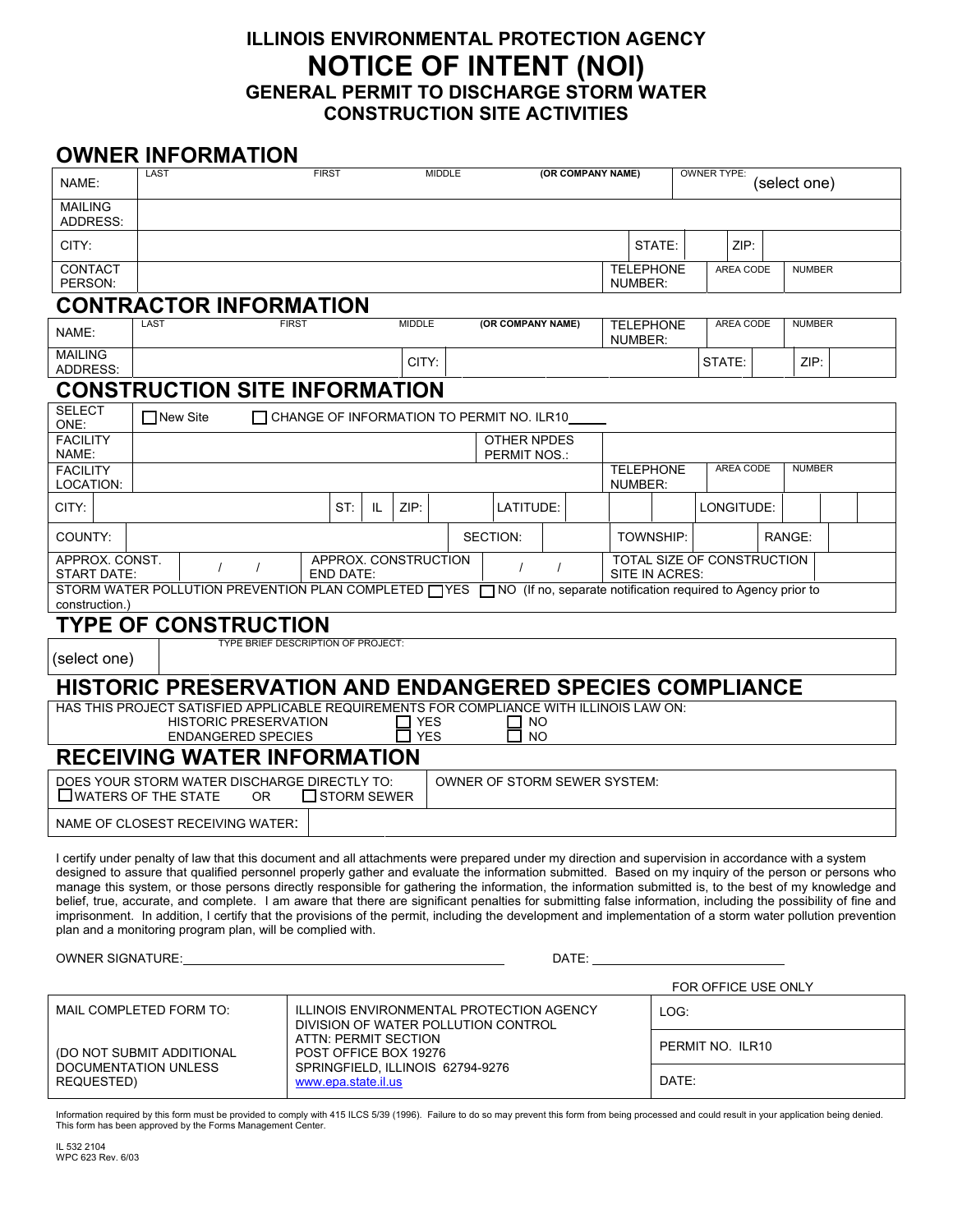## **ILLINOIS ENVIRONMENTAL PROTECTION AGENCY NOTICE OF INTENT (NOI) GENERAL PERMIT TO DISCHARGE STORM WATER CONSTRUCTION SITE ACTIVITIES**

## **OWNER INFORMATION**

| NAME:                                                                                                                                                                                                                                                                                                                                                                                                                                                                                                                                                                                                                                                                                                                                                                                                                                                             | LAST                               |                                                                                 | <b>MIDDLE</b><br><b>FIRST</b> |               |  | (OR COMPANY NAME) |  |         |                  | <b>OWNER TYPE:</b><br>(select one) |  |               |  |  |
|-------------------------------------------------------------------------------------------------------------------------------------------------------------------------------------------------------------------------------------------------------------------------------------------------------------------------------------------------------------------------------------------------------------------------------------------------------------------------------------------------------------------------------------------------------------------------------------------------------------------------------------------------------------------------------------------------------------------------------------------------------------------------------------------------------------------------------------------------------------------|------------------------------------|---------------------------------------------------------------------------------|-------------------------------|---------------|--|-------------------|--|---------|------------------|------------------------------------|--|---------------|--|--|
| <b>MAILING</b><br>ADDRESS:                                                                                                                                                                                                                                                                                                                                                                                                                                                                                                                                                                                                                                                                                                                                                                                                                                        |                                    |                                                                                 |                               |               |  |                   |  |         |                  |                                    |  |               |  |  |
| CITY:                                                                                                                                                                                                                                                                                                                                                                                                                                                                                                                                                                                                                                                                                                                                                                                                                                                             |                                    |                                                                                 |                               |               |  |                   |  |         | STATE:           | ZIP:                               |  |               |  |  |
| <b>CONTACT</b><br>PERSON:                                                                                                                                                                                                                                                                                                                                                                                                                                                                                                                                                                                                                                                                                                                                                                                                                                         |                                    |                                                                                 |                               |               |  |                   |  | NUMBER: | <b>TELEPHONE</b> | AREA CODE                          |  | <b>NUMBER</b> |  |  |
| <b>CONTRACTOR INFORMATION</b>                                                                                                                                                                                                                                                                                                                                                                                                                                                                                                                                                                                                                                                                                                                                                                                                                                     |                                    |                                                                                 |                               |               |  |                   |  |         |                  |                                    |  |               |  |  |
| NAME:                                                                                                                                                                                                                                                                                                                                                                                                                                                                                                                                                                                                                                                                                                                                                                                                                                                             | LAST                               | <b>FIRST</b>                                                                    |                               | <b>MIDDLE</b> |  | (OR COMPANY NAME) |  | NUMBER: | <b>TELEPHONE</b> | AREA CODE                          |  | <b>NUMBER</b> |  |  |
| <b>MAILING</b><br>ADDRESS:                                                                                                                                                                                                                                                                                                                                                                                                                                                                                                                                                                                                                                                                                                                                                                                                                                        |                                    |                                                                                 |                               | CITY:         |  |                   |  |         |                  | STATE:                             |  | ZIP:          |  |  |
| <b>CONSTRUCTION SITE INFORMATION</b>                                                                                                                                                                                                                                                                                                                                                                                                                                                                                                                                                                                                                                                                                                                                                                                                                              |                                    |                                                                                 |                               |               |  |                   |  |         |                  |                                    |  |               |  |  |
| <b>SELECT</b><br><b>□ New Site</b><br>∐ CHANGE OF INFORMATION TO PERMIT NO. ILR10<br>ONE:                                                                                                                                                                                                                                                                                                                                                                                                                                                                                                                                                                                                                                                                                                                                                                         |                                    |                                                                                 |                               |               |  |                   |  |         |                  |                                    |  |               |  |  |
| <b>FACILITY</b><br>NAME:                                                                                                                                                                                                                                                                                                                                                                                                                                                                                                                                                                                                                                                                                                                                                                                                                                          | OTHER NPDES<br><b>PERMIT NOS.:</b> |                                                                                 |                               |               |  |                   |  |         |                  |                                    |  |               |  |  |
| <b>FACILITY</b><br>LOCATION:                                                                                                                                                                                                                                                                                                                                                                                                                                                                                                                                                                                                                                                                                                                                                                                                                                      |                                    |                                                                                 |                               |               |  |                   |  | NUMBER: | <b>TELEPHONE</b> | <b>AREA CODE</b>                   |  | <b>NUMBER</b> |  |  |
| CITY:                                                                                                                                                                                                                                                                                                                                                                                                                                                                                                                                                                                                                                                                                                                                                                                                                                                             |                                    | ST:                                                                             | IL.                           | ZIP:          |  | LATITUDE:         |  |         |                  | LONGITUDE:                         |  |               |  |  |
| COUNTY:                                                                                                                                                                                                                                                                                                                                                                                                                                                                                                                                                                                                                                                                                                                                                                                                                                                           |                                    |                                                                                 |                               |               |  | SECTION:          |  |         | <b>TOWNSHIP:</b> |                                    |  | RANGE:        |  |  |
| APPROX. CONST.<br>APPROX. CONSTRUCTION<br>TOTAL SIZE OF CONSTRUCTION<br>$\prime$<br>$\prime$<br><b>START DATE:</b><br><b>END DATE:</b><br>SITE IN ACRES:                                                                                                                                                                                                                                                                                                                                                                                                                                                                                                                                                                                                                                                                                                          |                                    |                                                                                 |                               |               |  |                   |  |         |                  |                                    |  |               |  |  |
| STORM WATER POLLUTION PREVENTION PLAN COMPLETED TYES TO NO (If no, separate notification required to Agency prior to<br>construction.)                                                                                                                                                                                                                                                                                                                                                                                                                                                                                                                                                                                                                                                                                                                            |                                    |                                                                                 |                               |               |  |                   |  |         |                  |                                    |  |               |  |  |
| <b>TYPE OF CONSTRUCTION</b>                                                                                                                                                                                                                                                                                                                                                                                                                                                                                                                                                                                                                                                                                                                                                                                                                                       |                                    |                                                                                 |                               |               |  |                   |  |         |                  |                                    |  |               |  |  |
| TYPE BRIEF DESCRIPTION OF PROJECT:<br>(select one)                                                                                                                                                                                                                                                                                                                                                                                                                                                                                                                                                                                                                                                                                                                                                                                                                |                                    |                                                                                 |                               |               |  |                   |  |         |                  |                                    |  |               |  |  |
| <b>HISTORIC PRESERVATION AND ENDANGERED SPECIES COMPLIANCE</b>                                                                                                                                                                                                                                                                                                                                                                                                                                                                                                                                                                                                                                                                                                                                                                                                    |                                    |                                                                                 |                               |               |  |                   |  |         |                  |                                    |  |               |  |  |
| HAS THIS PROJECT SATISFIED APPLICABLE REQUIREMENTS FOR COMPLIANCE WITH ILLINOIS LAW ON:<br><b>HISTORIC PRESERVATION</b><br><b>YES</b><br><b>NO</b>                                                                                                                                                                                                                                                                                                                                                                                                                                                                                                                                                                                                                                                                                                                |                                    |                                                                                 |                               |               |  |                   |  |         |                  |                                    |  |               |  |  |
| <b>YES</b><br><b>NO</b><br><b>ENDANGERED SPECIES</b><br><b>RECEIVING WATER INFORMATION</b>                                                                                                                                                                                                                                                                                                                                                                                                                                                                                                                                                                                                                                                                                                                                                                        |                                    |                                                                                 |                               |               |  |                   |  |         |                  |                                    |  |               |  |  |
| DOES YOUR STORM WATER DISCHARGE DIRECTLY TO:<br><b>OWNER OF STORM SEWER SYSTEM:</b><br>$\square$ WATERS OF THE STATE<br>$\Box$ STORM SEWER<br><b>OR</b>                                                                                                                                                                                                                                                                                                                                                                                                                                                                                                                                                                                                                                                                                                           |                                    |                                                                                 |                               |               |  |                   |  |         |                  |                                    |  |               |  |  |
| NAME OF CLOSEST RECEIVING WATER:                                                                                                                                                                                                                                                                                                                                                                                                                                                                                                                                                                                                                                                                                                                                                                                                                                  |                                    |                                                                                 |                               |               |  |                   |  |         |                  |                                    |  |               |  |  |
| I certify under penalty of law that this document and all attachments were prepared under my direction and supervision in accordance with a system<br>designed to assure that qualified personnel properly gather and evaluate the information submitted. Based on my inquiry of the person or persons who<br>manage this system, or those persons directly responsible for gathering the information, the information submitted is, to the best of my knowledge and<br>belief, true, accurate, and complete. I am aware that there are significant penalties for submitting false information, including the possibility of fine and<br>imprisonment. In addition, I certify that the provisions of the permit, including the development and implementation of a storm water pollution prevention<br>plan and a monitoring program plan, will be complied with. |                                    |                                                                                 |                               |               |  |                   |  |         |                  |                                    |  |               |  |  |
|                                                                                                                                                                                                                                                                                                                                                                                                                                                                                                                                                                                                                                                                                                                                                                                                                                                                   |                                    |                                                                                 |                               |               |  |                   |  |         |                  |                                    |  |               |  |  |
| FOR OFFICE USE ONLY                                                                                                                                                                                                                                                                                                                                                                                                                                                                                                                                                                                                                                                                                                                                                                                                                                               |                                    |                                                                                 |                               |               |  |                   |  |         |                  |                                    |  |               |  |  |
|                                                                                                                                                                                                                                                                                                                                                                                                                                                                                                                                                                                                                                                                                                                                                                                                                                                                   | MAIL COMPLETED FORM TO:            | ILLINOIS ENVIRONMENTAL PROTECTION AGENCY<br>DIVISION OF WATER POLLUTION CONTROL |                               |               |  |                   |  | LOG:    |                  |                                    |  |               |  |  |

Information required by this form must be provided to comply with 415 ILCS 5/39 (1996). Failure to do so may prevent this form from being processed and could result in your application being denied.<br>This form has been appr

www.epa.state.il.us DATE:

ATTN: PERMIT SECTION POST OFFICE BOX 19276

SPRINGFIELD, ILLINOIS 62794-9276

PERMIT NO. ILR10

REQUESTED)

(DO NOT SUBMIT ADDITIONAL DOCUMENTATION UNLESS